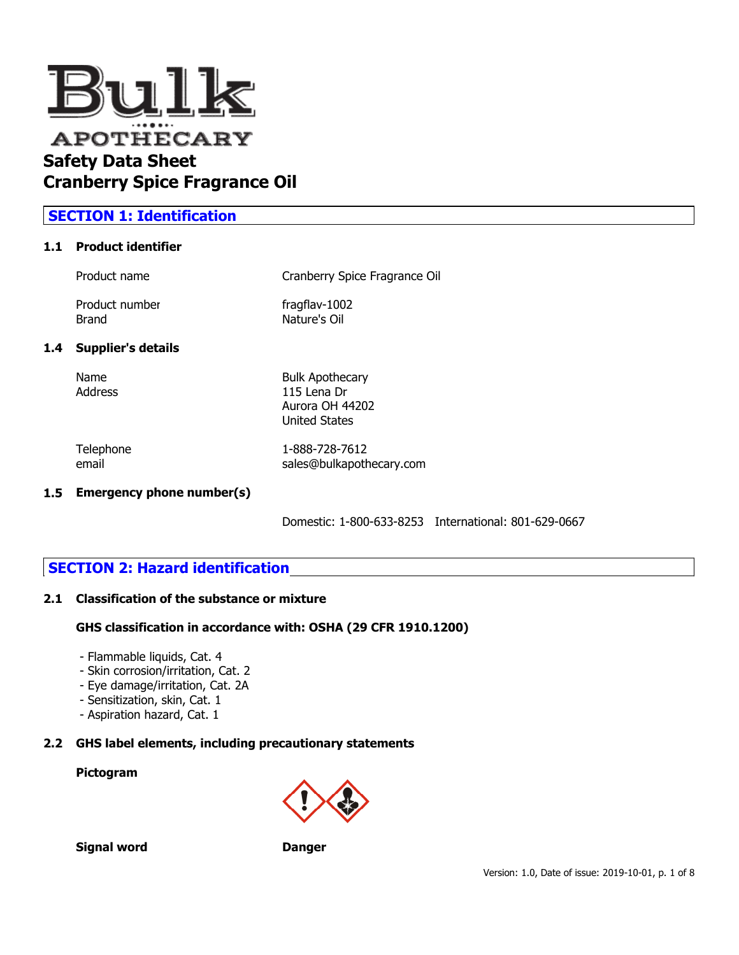

## **SECTION 1: Identification**

#### **1.1 Product identifier**

| Product name   | Cranberry Spice Fragrance Oil |
|----------------|-------------------------------|
| Product number | fragflav-1002                 |
| Brand          | Nature's Oil                  |

#### **1.4 Supplier's details**

Name Bulk Apothecary Address 115 Lena Dr Aurora OH 44202 United States

Telephone 1-888-728-7612

email sales@bulkapothecary.com

### **1.5 Emergency phone number(s)**

Domestic: 1-800-633-8253 International: 801-629-0667

## **SECTION 2: Hazard identification**

#### **2.1 Classification of the substance or mixture**

#### **GHS classification in accordance with: OSHA (29 CFR 1910.1200)**

- Flammable liquids, Cat. 4
- Skin corrosion/irritation, Cat. 2
- Eye damage/irritation, Cat. 2A
- Sensitization, skin, Cat. 1
- Aspiration hazard, Cat. 1

## **2.2 GHS label elements, including precautionary statements**

## **Pictogram**



**Signal word Danger**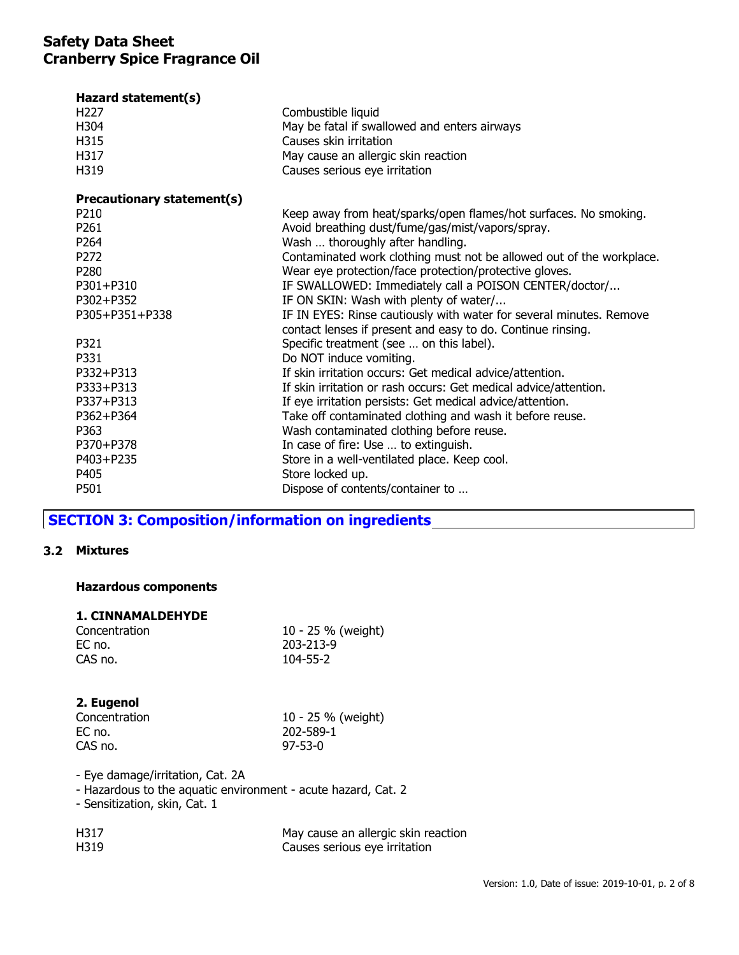| Hazard statement(s)<br>H <sub>227</sub> | Combustible liquid                                                                                                                 |
|-----------------------------------------|------------------------------------------------------------------------------------------------------------------------------------|
| H304                                    | May be fatal if swallowed and enters airways                                                                                       |
| H315                                    | Causes skin irritation                                                                                                             |
| H317                                    | May cause an allergic skin reaction                                                                                                |
| H319                                    | Causes serious eye irritation                                                                                                      |
|                                         |                                                                                                                                    |
| Precautionary statement(s)              |                                                                                                                                    |
| P210                                    | Keep away from heat/sparks/open flames/hot surfaces. No smoking.                                                                   |
| P <sub>261</sub>                        | Avoid breathing dust/fume/gas/mist/vapors/spray.                                                                                   |
| P <sub>264</sub>                        | Wash  thoroughly after handling.                                                                                                   |
| P272                                    | Contaminated work clothing must not be allowed out of the workplace.                                                               |
| P280                                    | Wear eye protection/face protection/protective gloves.                                                                             |
| P301+P310                               | IF SWALLOWED: Immediately call a POISON CENTER/doctor/                                                                             |
| P302+P352                               | IF ON SKIN: Wash with plenty of water/                                                                                             |
| P305+P351+P338                          | IF IN EYES: Rinse cautiously with water for several minutes. Remove<br>contact lenses if present and easy to do. Continue rinsing. |
| P321                                    | Specific treatment (see  on this label).                                                                                           |
| P331                                    | Do NOT induce vomiting.                                                                                                            |
| P332+P313                               | If skin irritation occurs: Get medical advice/attention.                                                                           |
| P333+P313                               | If skin irritation or rash occurs: Get medical advice/attention.                                                                   |
| P337+P313                               | If eye irritation persists: Get medical advice/attention.                                                                          |
| P362+P364                               | Take off contaminated clothing and wash it before reuse.                                                                           |
| P363                                    | Wash contaminated clothing before reuse.                                                                                           |
| P370+P378                               | In case of fire: Use  to extinguish.                                                                                               |
| P403+P235                               | Store in a well-ventilated place. Keep cool.                                                                                       |
| P405                                    | Store locked up.                                                                                                                   |
| P501                                    | Dispose of contents/container to                                                                                                   |
|                                         |                                                                                                                                    |

# **SECTION 3: Composition/information on ingredients**

#### **3.2 Mixtures**

### **Hazardous components**

#### **1. CINNAMALDEHYDE**

| Concentration | 10 - 25 % (weight) |
|---------------|--------------------|
| EC no.        | 203-213-9          |
| CAS no.       | 104-55-2           |

### **2. Eugenol**

| Concentration | 10 - 25 % (weight) |
|---------------|--------------------|
| EC no.        | 202-589-1          |
| CAS no.       | $97 - 53 - 0$      |

- Eye damage/irritation, Cat. 2A

- Hazardous to the aquatic environment - acute hazard, Cat. 2

- Sensitization, skin, Cat. 1

| H317 | May cause an allergic skin reaction |
|------|-------------------------------------|
| H319 | Causes serious eye irritation       |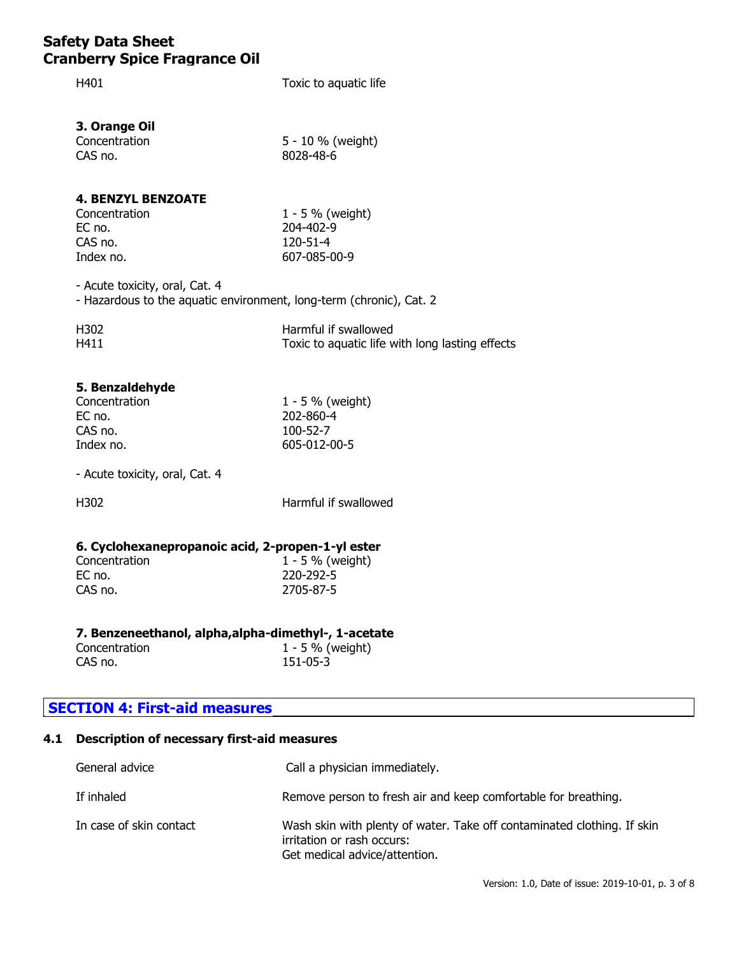H401 Toxic to aquatic life

**3. Orange Oil**

| Concentration | 5 - 10 % (weight) |
|---------------|-------------------|
| CAS no.       | 8028-48-6         |

## **4. BENZYL BENZOATE**

Concentration 1 - 5 % (weight) EC no. 204-402-9 CAS no. 120-51-4 Index no. 607-085-00-9

- Acute toxicity, oral, Cat. 4

- Hazardous to the aquatic environment, long-term (chronic), Cat. 2

| H302 | Harmful if swallowed                            |
|------|-------------------------------------------------|
| H411 | Toxic to aquatic life with long lasting effects |

### **5. Benzaldehyde**

| Concentration |  |
|---------------|--|
| EC no.        |  |
| CAS no.       |  |
| Index no.     |  |

 $1 - 5$  % (weight) EC no. 202-860-4 100-52-7 605-012-00-5

- Acute toxicity, oral, Cat. 4

H302 Harmful if swallowed

#### **6. Cyclohexanepropanoic acid, 2-propen-1-yl ester**

| Concentration | 1 - 5 % (weight) |
|---------------|------------------|
| EC no.        | 220-292-5        |
| CAS no.       | 2705-87-5        |
|               |                  |

### **7. Benzeneethanol, alpha,alpha-dimethyl-, 1-acetate**

| Concentration | $1 - 5 \%$ (weight) |
|---------------|---------------------|
| CAS no.       | $151 - 05 - 3$      |

## **SECTION 4: First-aid measures**

## **4.1 Description of necessary first-aid measures**

| General advice          | Call a physician immediately.                                                                                                          |
|-------------------------|----------------------------------------------------------------------------------------------------------------------------------------|
| If inhaled              | Remove person to fresh air and keep comfortable for breathing.                                                                         |
| In case of skin contact | Wash skin with plenty of water. Take off contaminated clothing. If skin<br>irritation or rash occurs:<br>Get medical advice/attention. |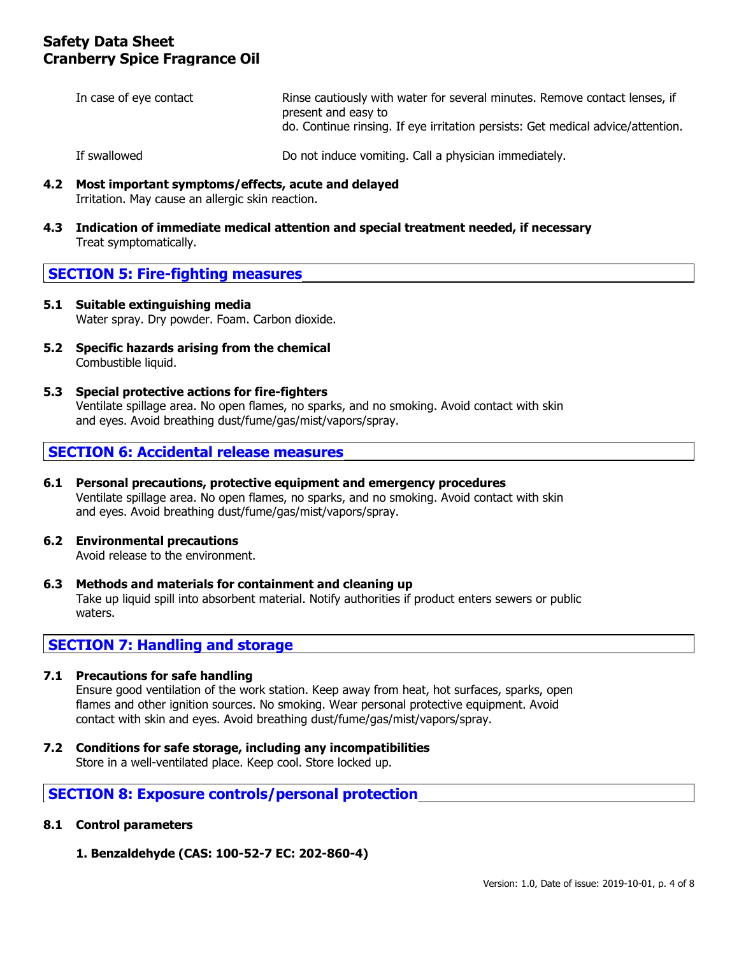| In case of eye contact | Rinse cautiously with water for several minutes. Remove contact lenses, if<br>present and easy to<br>do. Continue rinsing. If eye irritation persists: Get medical advice/attention. |
|------------------------|--------------------------------------------------------------------------------------------------------------------------------------------------------------------------------------|
| If swallowed           | Do not induce vomiting. Call a physician immediately.                                                                                                                                |

- **4.2 Most important symptoms/effects, acute and delayed** Irritation. May cause an allergic skin reaction.
- **4.3 Indication of immediate medical attention and special treatment needed, if necessary** Treat symptomatically.

## **SECTION 5: Fire-fighting measures**

- **5.1 Suitable extinguishing media** Water spray. Dry powder. Foam. Carbon dioxide.
- **5.2 Specific hazards arising from the chemical** Combustible liquid.
- **5.3 Special protective actions for fire-fighters** Ventilate spillage area. No open flames, no sparks, and no smoking. Avoid contact with skin and eyes. Avoid breathing dust/fume/gas/mist/vapors/spray.

## **SECTION 6: Accidental release measures**

- **6.1 Personal precautions, protective equipment and emergency procedures** Ventilate spillage area. No open flames, no sparks, and no smoking. Avoid contact with skin and eyes. Avoid breathing dust/fume/gas/mist/vapors/spray.
- **6.2 Environmental precautions** Avoid release to the environment.
- **6.3 Methods and materials for containment and cleaning up** Take up liquid spill into absorbent material. Notify authorities if product enters sewers or public waters.

## **SECTION 7: Handling and storage**

### **7.1 Precautions for safe handling**

Ensure good ventilation of the work station. Keep away from heat, hot surfaces, sparks, open flames and other ignition sources. No smoking. Wear personal protective equipment. Avoid contact with skin and eyes. Avoid breathing dust/fume/gas/mist/vapors/spray.

**7.2 Conditions for safe storage, including any incompatibilities** Store in a well-ventilated place. Keep cool. Store locked up.

## **SECTION 8: Exposure controls/personal protection**

#### **8.1 Control parameters**

**1. Benzaldehyde (CAS: 100-52-7 EC: 202-860-4)**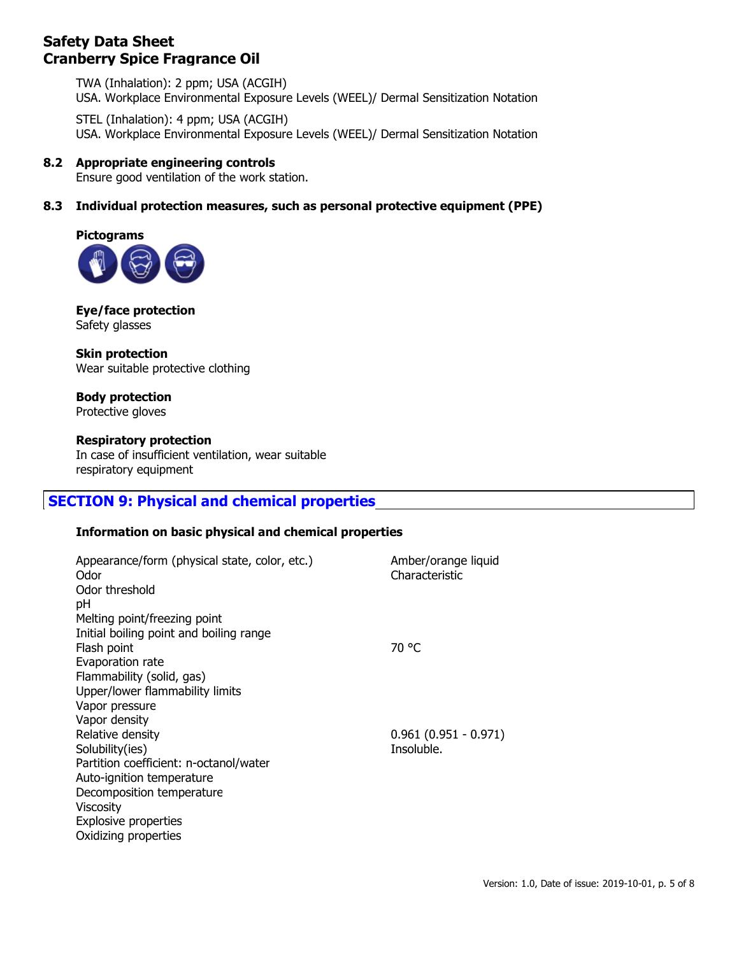TWA (Inhalation): 2 ppm; USA (ACGIH) USA. Workplace Environmental Exposure Levels (WEEL)/ Dermal Sensitization Notation

STEL (Inhalation): 4 ppm; USA (ACGIH) USA. Workplace Environmental Exposure Levels (WEEL)/ Dermal Sensitization Notation

### **8.2 Appropriate engineering controls**

Ensure good ventilation of the work station.

## **8.3 Individual protection measures, such as personal protective equipment (PPE)**



**Eye/face protection** Safety glasses

**Skin protection** Wear suitable protective clothing

**Body protection** Protective gloves

#### **Respiratory protection**

In case of insufficient ventilation, wear suitable respiratory equipment

## **SECTION 9: Physical and chemical properties**

#### **Information on basic physical and chemical properties**

| Appearance/form (physical state, color, etc.)<br>Odor<br>Odor threshold<br>рH | Amber/orange liquid<br>Characteristic |
|-------------------------------------------------------------------------------|---------------------------------------|
| Melting point/freezing point                                                  |                                       |
| Initial boiling point and boiling range<br>Flash point                        | 70 °C                                 |
| Evaporation rate                                                              |                                       |
| Flammability (solid, gas)                                                     |                                       |
| Upper/lower flammability limits                                               |                                       |
| Vapor pressure                                                                |                                       |
| Vapor density                                                                 |                                       |
| Relative density                                                              | $0.961(0.951 - 0.971)$                |
| Solubility(ies)                                                               | Insoluble.                            |
| Partition coefficient: n-octanol/water                                        |                                       |
| Auto-ignition temperature                                                     |                                       |
| Decomposition temperature                                                     |                                       |
| <b>Viscosity</b>                                                              |                                       |
| Explosive properties                                                          |                                       |
| Oxidizing properties                                                          |                                       |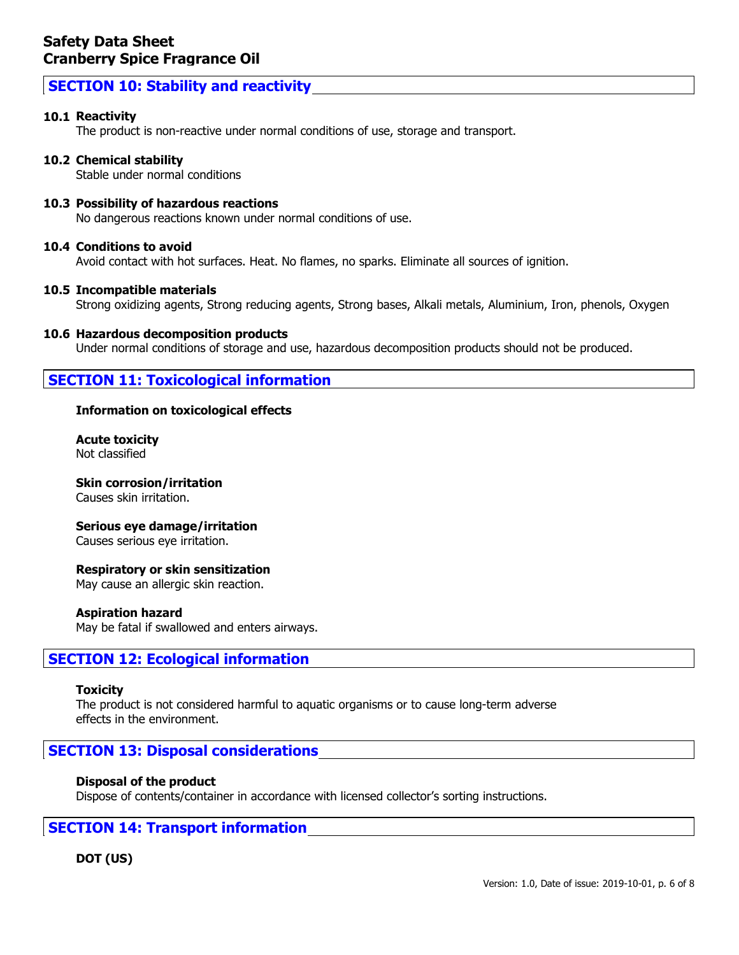## **SECTION 10: Stability and reactivity**

#### **10.1 Reactivity**

The product is non-reactive under normal conditions of use, storage and transport.

#### **10.2 Chemical stability**

Stable under normal conditions

#### **10.3 Possibility of hazardous reactions**

No dangerous reactions known under normal conditions of use.

#### **10.4 Conditions to avoid**

Avoid contact with hot surfaces. Heat. No flames, no sparks. Eliminate all sources of ignition.

#### **10.5 Incompatible materials**

Strong oxidizing agents, Strong reducing agents, Strong bases, Alkali metals, Aluminium, Iron, phenols, Oxygen

#### **10.6 Hazardous decomposition products**

Under normal conditions of storage and use, hazardous decomposition products should not be produced.

## **SECTION 11: Toxicological information**

#### **Information on toxicological effects**

**Acute toxicity** Not classified

#### **Skin corrosion/irritation**

Causes skin irritation.

#### **Serious eye damage/irritation**

Causes serious eye irritation.

#### **Respiratory or skin sensitization**

May cause an allergic skin reaction.

#### **Aspiration hazard**

May be fatal if swallowed and enters airways.

### **SECTION 12: Ecological information**

#### **Toxicity**

The product is not considered harmful to aquatic organisms or to cause long-term adverse effects in the environment.

## **SECTION 13: Disposal considerations**

#### **Disposal of the product**

Dispose of contents/container in accordance with licensed collector's sorting instructions.

### **SECTION 14: Transport information**

### **DOT (US)**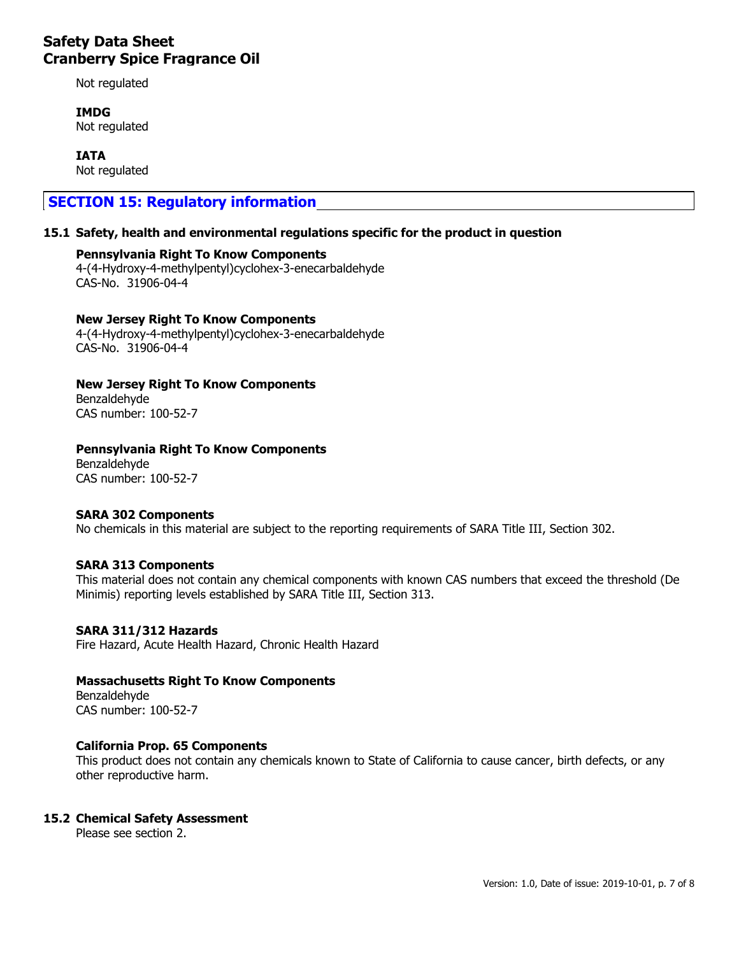Not regulated

**IMDG** Not regulated

**IATA** Not regulated

## **SECTION 15: Regulatory information**

#### **15.1 Safety, health and environmental regulations specific for the product in question**

**Pennsylvania Right To Know Components** 4-(4-Hydroxy-4-methylpentyl)cyclohex-3-enecarbaldehyde CAS-No. 31906-04-4

#### **New Jersey Right To Know Components**

4-(4-Hydroxy-4-methylpentyl)cyclohex-3-enecarbaldehyde CAS-No. 31906-04-4

**New Jersey Right To Know Components** Benzaldehyde CAS number: 100-52-7

#### **Pennsylvania Right To Know Components**

Benzaldehyde CAS number: 100-52-7

#### **SARA 302 Components**

No chemicals in this material are subject to the reporting requirements of SARA Title III, Section 302.

#### **SARA 313 Components**

This material does not contain any chemical components with known CAS numbers that exceed the threshold (De Minimis) reporting levels established by SARA Title III, Section 313.

#### **SARA 311/312 Hazards**

Fire Hazard, Acute Health Hazard, Chronic Health Hazard

#### **Massachusetts Right To Know Components**

Benzaldehyde CAS number: 100-52-7

#### **California Prop. 65 Components**

This product does not contain any chemicals known to State of California to cause cancer, birth defects, or any other reproductive harm.

#### **15.2 Chemical Safety Assessment**

Please see section 2.